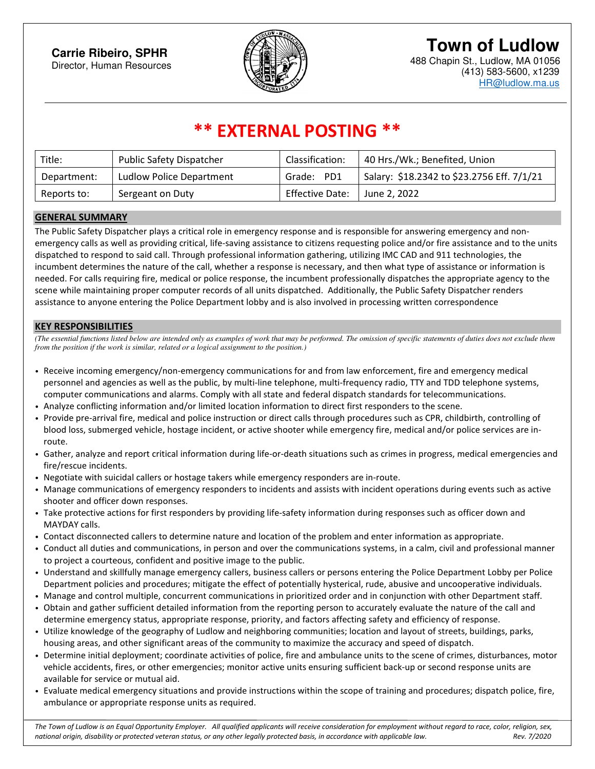# **Town of Ludlow**



488 Chapin St., Ludlow, MA 01056 (413) 583-5600, x1239 HR@ludlow.ma.us

# **\*\* EXTERNAL POSTING \*\***

| Title:      | <b>Public Safety Dispatcher</b> | Classification: | 40 Hrs./Wk.; Benefited, Union              |
|-------------|---------------------------------|-----------------|--------------------------------------------|
| Department: | Ludlow Police Department        | Grade: PD1      | Salary: \$18.2342 to \$23.2756 Eff. 7/1/21 |
| Reports to: | Sergeant on Duty                | Effective Date: | June 2, 2022                               |

#### **GENERAL SUMMARY**

The Public Safety Dispatcher plays a critical role in emergency response and is responsible for answering emergency and nonemergency calls as well as providing critical, life-saving assistance to citizens requesting police and/or fire assistance and to the units dispatched to respond to said call. Through professional information gathering, utilizing IMC CAD and 911 technologies, the incumbent determines the nature of the call, whether a response is necessary, and then what type of assistance or information is needed. For calls requiring fire, medical or police response, the incumbent professionally dispatches the appropriate agency to the scene while maintaining proper computer records of all units dispatched. Additionally, the Public Safety Dispatcher renders assistance to anyone entering the Police Department lobby and is also involved in processing written correspondence

#### **KEY RESPONSIBILITIES**

*(The essential functions listed below are intended only as examples of work that may be performed. The omission of specific statements of duties does not exclude them from the position if the work is similar, related or a logical assignment to the position.)* 

- Receive incoming emergency/non-emergency communications for and from law enforcement, fire and emergency medical personnel and agencies as well as the public, by multi-line telephone, multi-frequency radio, TTY and TDD telephone systems, computer communications and alarms. Comply with all state and federal dispatch standards for telecommunications.
- Analyze conflicting information and/or limited location information to direct first responders to the scene.
- Provide pre-arrival fire, medical and police instruction or direct calls through procedures such as CPR, childbirth, controlling of blood loss, submerged vehicle, hostage incident, or active shooter while emergency fire, medical and/or police services are inroute.
- Gather, analyze and report critical information during life-or-death situations such as crimes in progress, medical emergencies and fire/rescue incidents.
- Negotiate with suicidal callers or hostage takers while emergency responders are in-route.
- Manage communications of emergency responders to incidents and assists with incident operations during events such as active shooter and officer down responses.
- Take protective actions for first responders by providing life-safety information during responses such as officer down and MAYDAY calls.
- Contact disconnected callers to determine nature and location of the problem and enter information as appropriate.
- Conduct all duties and communications, in person and over the communications systems, in a calm, civil and professional manner to project a courteous, confident and positive image to the public.
- Understand and skillfully manage emergency callers, business callers or persons entering the Police Department Lobby per Police Department policies and procedures; mitigate the effect of potentially hysterical, rude, abusive and uncooperative individuals.
- Manage and control multiple, concurrent communications in prioritized order and in conjunction with other Department staff.
- Obtain and gather sufficient detailed information from the reporting person to accurately evaluate the nature of the call and determine emergency status, appropriate response, priority, and factors affecting safety and efficiency of response.
- Utilize knowledge of the geography of Ludlow and neighboring communities; location and layout of streets, buildings, parks, housing areas, and other significant areas of the community to maximize the accuracy and speed of dispatch.
- Determine initial deployment; coordinate activities of police, fire and ambulance units to the scene of crimes, disturbances, motor vehicle accidents, fires, or other emergencies; monitor active units ensuring sufficient back-up or second response units are available for service or mutual aid.
- Evaluate medical emergency situations and provide instructions within the scope of training and procedures; dispatch police, fire, ambulance or appropriate response units as required.

*The Town of Ludlow is an Equal Opportunity Employer. All qualified applicants will receive consideration for employment without regard to race, color, religion, sex, national origin, disability or protected veteran status, or any other legally protected basis, in accordance with applicable law. Rev. 7/2020*